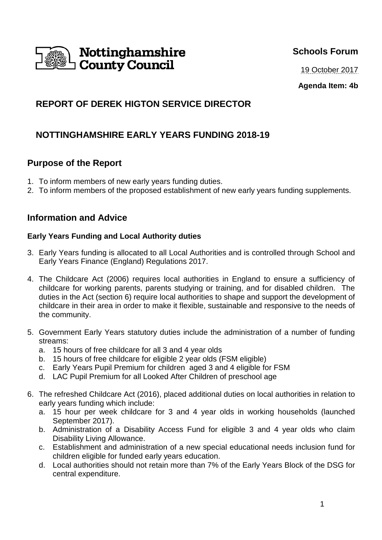

## **Schools Forum**

19 October 2017

**Agenda Item: 4b**

# **REPORT OF DEREK HIGTON SERVICE DIRECTOR**

# **NOTTINGHAMSHIRE EARLY YEARS FUNDING 2018-19**

## **Purpose of the Report**

- 1. To inform members of new early years funding duties.
- 2. To inform members of the proposed establishment of new early years funding supplements.

### **Information and Advice**

### **Early Years Funding and Local Authority duties**

- 3. Early Years funding is allocated to all Local Authorities and is controlled through School and Early Years Finance (England) Regulations 2017.
- 4. The Childcare Act (2006) requires local authorities in England to ensure a sufficiency of childcare for working parents, parents studying or training, and for disabled children. The duties in the Act (section 6) require local authorities to shape and support the development of childcare in their area in order to make it flexible, sustainable and responsive to the needs of the community.
- 5. Government Early Years statutory duties include the administration of a number of funding streams:
	- a. 15 hours of free childcare for all 3 and 4 year olds
	- b. 15 hours of free childcare for eligible 2 year olds (FSM eligible)
	- c. Early Years Pupil Premium for children aged 3 and 4 eligible for FSM
	- d. LAC Pupil Premium for all Looked After Children of preschool age
- 6. The refreshed Childcare Act (2016), placed additional duties on local authorities in relation to early years funding which include:
	- a. 15 hour per week childcare for 3 and 4 year olds in working households (launched September 2017).
	- b. Administration of a Disability Access Fund for eligible 3 and 4 year olds who claim Disability Living Allowance.
	- c. Establishment and administration of a new special educational needs inclusion fund for children eligible for funded early years education.
	- d. Local authorities should not retain more than 7% of the Early Years Block of the DSG for central expenditure.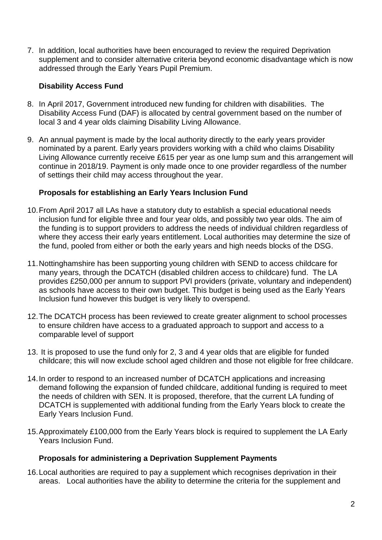7. In addition, local authorities have been encouraged to review the required Deprivation supplement and to consider alternative criteria beyond economic disadvantage which is now addressed through the Early Years Pupil Premium.

### **Disability Access Fund**

- 8. In April 2017, Government introduced new funding for children with disabilities. The Disability Access Fund (DAF) is allocated by central government based on the number of local 3 and 4 year olds claiming Disability Living Allowance.
- 9. An annual payment is made by the local authority directly to the early years provider nominated by a parent. Early years providers working with a child who claims Disability Living Allowance currently receive £615 per year as one lump sum and this arrangement will continue in 2018/19. Payment is only made once to one provider regardless of the number of settings their child may access throughout the year.

### **Proposals for establishing an Early Years Inclusion Fund**

- 10. From April 2017 all LAs have a statutory duty to establish a special educational needs inclusion fund for eligible three and four year olds, and possibly two year olds. The aim of the funding is to support providers to address the needs of individual children regardless of where they access their early years entitlement. Local authorities may determine the size of the fund, pooled from either or both the early years and high needs blocks of the DSG.
- 11. Nottinghamshire has been supporting young children with SEND to access childcare for many years, through the DCATCH (disabled children access to childcare) fund. The LA provides £250,000 per annum to support PVI providers (private, voluntary and independent) as schools have access to their own budget. This budget is being used as the Early Years Inclusion fund however this budget is very likely to overspend.
- 12. The DCATCH process has been reviewed to create greater alignment to school processes to ensure children have access to a graduated approach to support and access to a comparable level of support
- 13. It is proposed to use the fund only for 2, 3 and 4 year olds that are eligible for funded childcare; this will now exclude school aged children and those not eligible for free childcare.
- 14. In order to respond to an increased number of DCATCH applications and increasing demand following the expansion of funded childcare, additional funding is required to meet the needs of children with SEN. It is proposed, therefore, that the current LA funding of DCATCH is supplemented with additional funding from the Early Years block to create the Early Years Inclusion Fund.
- 15. Approximately £100,000 from the Early Years block is required to supplement the LA Early Years Inclusion Fund.

#### **Proposals for administering a Deprivation Supplement Payments**

16. Local authorities are required to pay a supplement which recognises deprivation in their areas. Local authorities have the ability to determine the criteria for the supplement and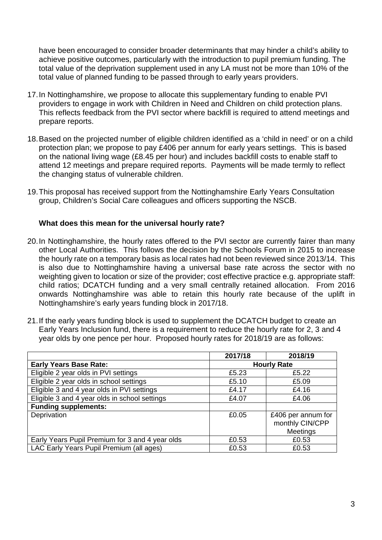have been encouraged to consider broader determinants that may hinder a child's ability to achieve positive outcomes, particularly with the introduction to pupil premium funding. The total value of the deprivation supplement used in any LA must not be more than 10% of the total value of planned funding to be passed through to early years providers.

- 17. In Nottinghamshire, we propose to allocate this supplementary funding to enable PVI providers to engage in work with Children in Need and Children on child protection plans. This reflects feedback from the PVI sector where backfill is required to attend meetings and prepare reports.
- 18. Based on the projected number of eligible children identified as a 'child in need' or on a child protection plan; we propose to pay £406 per annum for early years settings. This is based on the national living wage (£8.45 per hour) and includes backfill costs to enable staff to attend 12 meetings and prepare required reports. Payments will be made termly to reflect the changing status of vulnerable children.
- 19. This proposal has received support from the Nottinghamshire Early Years Consultation group, Children's Social Care colleagues and officers supporting the NSCB.

#### **What does this mean for the universal hourly rate?**

- 20. In Nottinghamshire, the hourly rates offered to the PVI sector are currently fairer than many other Local Authorities. This follows the decision by the Schools Forum in 2015 to increase the hourly rate on a temporary basis as local rates had not been reviewed since 2013/14. This is also due to Nottinghamshire having a universal base rate across the sector with no weighting given to location or size of the provider; cost effective practice e.g. appropriate staff: child ratios; DCATCH funding and a very small centrally retained allocation. From 2016 onwards Nottinghamshire was able to retain this hourly rate because of the uplift in Nottinghamshire's early years funding block in 2017/18.
- 21. If the early years funding block is used to supplement the DCATCH budget to create an Early Years Inclusion fund, there is a requirement to reduce the hourly rate for 2, 3 and 4 year olds by one pence per hour. Proposed hourly rates for 2018/19 are as follows:

|                                                 | 2017/18            | 2018/19                                                  |
|-------------------------------------------------|--------------------|----------------------------------------------------------|
| <b>Early Years Base Rate:</b>                   | <b>Hourly Rate</b> |                                                          |
| Eligible 2 year olds in PVI settings            | £5.23              | £5.22                                                    |
| Eligible 2 year olds in school settings         | £5.10              | £5.09                                                    |
| Eligible 3 and 4 year olds in PVI settings      | £4.17              | £4.16                                                    |
| Eligible 3 and 4 year olds in school settings   | £4.07              | £4.06                                                    |
| <b>Funding supplements:</b>                     |                    |                                                          |
| Deprivation                                     | £0.05              | £406 per annum for<br>monthly CIN/CPP<br><b>Meetings</b> |
| Early Years Pupil Premium for 3 and 4 year olds | £0.53              | £0.53                                                    |
| LAC Early Years Pupil Premium (all ages)        | £0.53              | £0.53                                                    |